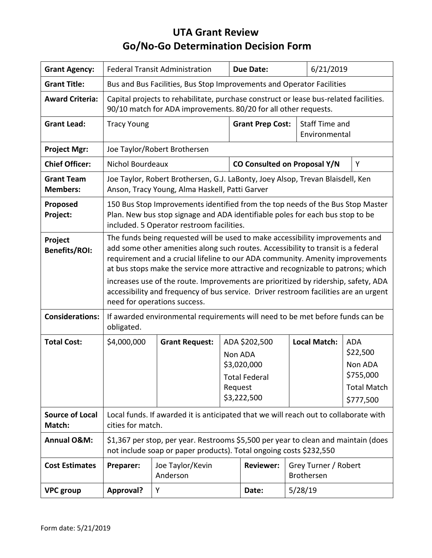# **UTA Grant Review Go/No-Go Determination Decision Form**

| <b>Grant Agency:</b>                 | <b>Federal Transit Administration</b>                                                                                                                                                                                                                                                                                                                                                                                                                                                                                                                 |                              |                    | <b>Due Date:</b>             |                                                                                            | 6/21/2019 |                                                                                   |
|--------------------------------------|-------------------------------------------------------------------------------------------------------------------------------------------------------------------------------------------------------------------------------------------------------------------------------------------------------------------------------------------------------------------------------------------------------------------------------------------------------------------------------------------------------------------------------------------------------|------------------------------|--------------------|------------------------------|--------------------------------------------------------------------------------------------|-----------|-----------------------------------------------------------------------------------|
| <b>Grant Title:</b>                  | Bus and Bus Facilities, Bus Stop Improvements and Operator Facilities                                                                                                                                                                                                                                                                                                                                                                                                                                                                                 |                              |                    |                              |                                                                                            |           |                                                                                   |
| <b>Award Criteria:</b>               | Capital projects to rehabilitate, purchase construct or lease bus-related facilities.<br>90/10 match for ADA improvements. 80/20 for all other requests.                                                                                                                                                                                                                                                                                                                                                                                              |                              |                    |                              |                                                                                            |           |                                                                                   |
| <b>Grant Lead:</b>                   | <b>Grant Prep Cost:</b><br><b>Tracy Young</b>                                                                                                                                                                                                                                                                                                                                                                                                                                                                                                         |                              |                    |                              | Staff Time and<br>Environmental                                                            |           |                                                                                   |
| <b>Project Mgr:</b>                  | Joe Taylor/Robert Brothersen                                                                                                                                                                                                                                                                                                                                                                                                                                                                                                                          |                              |                    |                              |                                                                                            |           |                                                                                   |
| <b>Chief Officer:</b>                | Nichol Bourdeaux                                                                                                                                                                                                                                                                                                                                                                                                                                                                                                                                      |                              |                    | CO Consulted on Proposal Y/N |                                                                                            |           | Y                                                                                 |
| <b>Grant Team</b><br><b>Members:</b> | Joe Taylor, Robert Brothersen, G.J. LaBonty, Joey Alsop, Trevan Blaisdell, Ken<br>Anson, Tracy Young, Alma Haskell, Patti Garver                                                                                                                                                                                                                                                                                                                                                                                                                      |                              |                    |                              |                                                                                            |           |                                                                                   |
| Proposed<br>Project:                 | 150 Bus Stop Improvements identified from the top needs of the Bus Stop Master<br>Plan. New bus stop signage and ADA identifiable poles for each bus stop to be<br>included. 5 Operator restroom facilities.                                                                                                                                                                                                                                                                                                                                          |                              |                    |                              |                                                                                            |           |                                                                                   |
| Project<br><b>Benefits/ROI:</b>      | The funds being requested will be used to make accessibility improvements and<br>add some other amenities along such routes. Accessibility to transit is a federal<br>requirement and a crucial lifeline to our ADA community. Amenity improvements<br>at bus stops make the service more attractive and recognizable to patrons; which<br>increases use of the route. Improvements are prioritized by ridership, safety, ADA<br>accessibility and frequency of bus service. Driver restroom facilities are an urgent<br>need for operations success. |                              |                    |                              |                                                                                            |           |                                                                                   |
| <b>Considerations:</b>               | If awarded environmental requirements will need to be met before funds can be<br>obligated.                                                                                                                                                                                                                                                                                                                                                                                                                                                           |                              |                    |                              |                                                                                            |           |                                                                                   |
| <b>Total Cost:</b>                   | \$4,000,000                                                                                                                                                                                                                                                                                                                                                                                                                                                                                                                                           | <b>Grant Request:</b>        | Non ADA<br>Request |                              | <b>Local Match:</b><br>ADA \$202,500<br>\$3,020,000<br><b>Total Federal</b><br>\$3,222,500 |           | <b>ADA</b><br>\$22,500<br>Non ADA<br>\$755,000<br><b>Total Match</b><br>\$777,500 |
| <b>Source of Local</b><br>Match:     | Local funds. If awarded it is anticipated that we will reach out to collaborate with<br>cities for match.                                                                                                                                                                                                                                                                                                                                                                                                                                             |                              |                    |                              |                                                                                            |           |                                                                                   |
| <b>Annual O&amp;M:</b>               | \$1,367 per stop, per year. Restrooms \$5,500 per year to clean and maintain (does<br>not include soap or paper products). Total ongoing costs \$232,550                                                                                                                                                                                                                                                                                                                                                                                              |                              |                    |                              |                                                                                            |           |                                                                                   |
| <b>Cost Estimates</b>                | Preparer:                                                                                                                                                                                                                                                                                                                                                                                                                                                                                                                                             | Joe Taylor/Kevin<br>Anderson |                    | <b>Reviewer:</b>             | Grey Turner / Robert<br><b>Brothersen</b>                                                  |           |                                                                                   |
| <b>VPC</b> group                     | Approval?                                                                                                                                                                                                                                                                                                                                                                                                                                                                                                                                             | Υ                            |                    | Date:                        | 5/28/19                                                                                    |           |                                                                                   |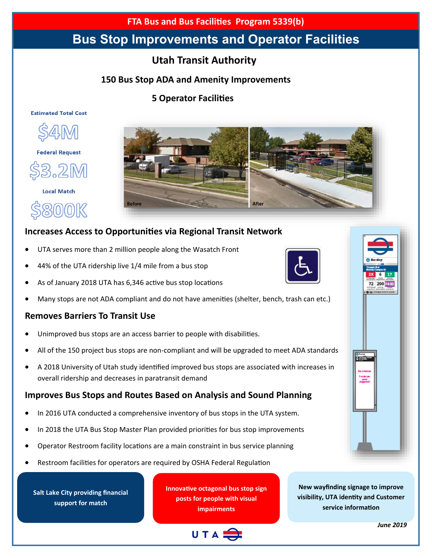**FTA Bus and Bus Facilities Program 5339(b)**

# **Bus Stop Improvements and Operator Facilities**

## **Utah Transit Authority**

#### **150 Bus Stop ADA and Amenity Improvements**

#### **5 Operator Facilities**

#### **Estimated Total Cost**



**Federal Request** 



**Local Match** 

800K



### **Increases Access to Opportunities via Regional Transit Network**

UTA serves more than 2 million people along the Wasatch Front

**Before** 

- 44% of the UTA ridership live 1/4 mile from a bus stop
- As of January 2018 UTA has 6,346 active bus stop locations



#### **Removes Barriers To Transit Use**

- Unimproved bus stops are an access barrier to people with disabilities.
- All of the 150 project bus stops are non-compliant and will be upgraded to meet ADA standards
- A 2018 University of Utah study identified improved bus stops are associated with increases in overall ridership and decreases in paratransit demand

#### **Improves Bus Stops and Routes Based on Analysis and Sound Planning**

- In 2016 UTA conducted a comprehensive inventory of bus stops in the UTA system.
- In 2018 the UTA Bus Stop Master Plan provided priorities for bus stop improvements
- Operator Restroom facility locations are a main constraint in bus service planning
- Restroom facilities for operators are required by OSHA Federal Regulation

**Salt Lake City providing financial support for match**

**Innovative octagonal bus stop sign posts for people with visual impairments**





*June 2019*